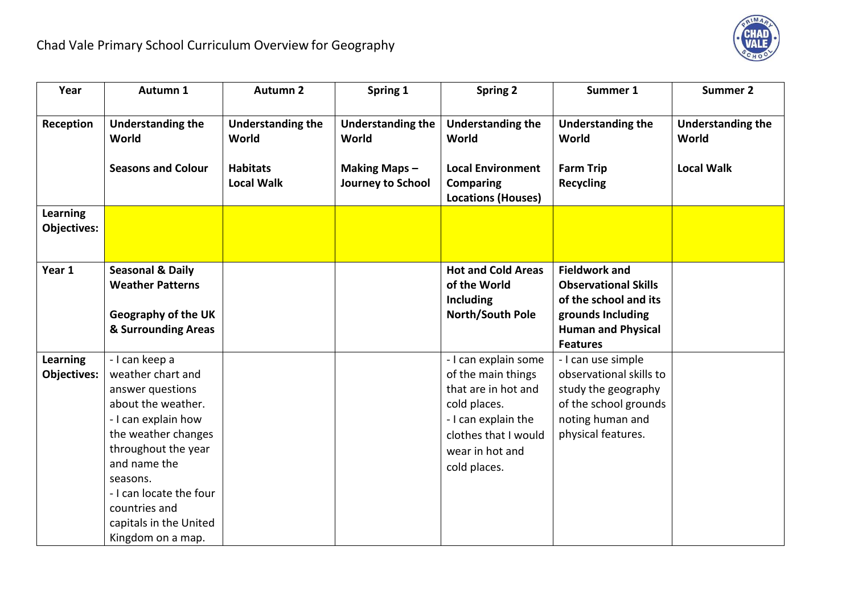

| Year               | Autumn 1                          | <b>Autumn 2</b>                   | Spring 1                          | <b>Spring 2</b>                   | Summer 1                              | <b>Summer 2</b>                   |
|--------------------|-----------------------------------|-----------------------------------|-----------------------------------|-----------------------------------|---------------------------------------|-----------------------------------|
|                    |                                   |                                   |                                   |                                   |                                       |                                   |
| Reception          | <b>Understanding the</b><br>World | <b>Understanding the</b><br>World | <b>Understanding the</b><br>World | <b>Understanding the</b><br>World | <b>Understanding the</b><br>World     | <b>Understanding the</b><br>World |
|                    |                                   |                                   |                                   |                                   |                                       |                                   |
|                    | <b>Seasons and Colour</b>         | <b>Habitats</b>                   | <b>Making Maps-</b>               | <b>Local Environment</b>          | <b>Farm Trip</b>                      | <b>Local Walk</b>                 |
|                    |                                   | <b>Local Walk</b>                 | Journey to School                 | <b>Comparing</b>                  | <b>Recycling</b>                      |                                   |
|                    |                                   |                                   |                                   | <b>Locations (Houses)</b>         |                                       |                                   |
| <b>Learning</b>    |                                   |                                   |                                   |                                   |                                       |                                   |
| <b>Objectives:</b> |                                   |                                   |                                   |                                   |                                       |                                   |
|                    |                                   |                                   |                                   |                                   |                                       |                                   |
| Year 1             | <b>Seasonal &amp; Daily</b>       |                                   |                                   | <b>Hot and Cold Areas</b>         | <b>Fieldwork and</b>                  |                                   |
|                    | <b>Weather Patterns</b>           |                                   |                                   | of the World                      | <b>Observational Skills</b>           |                                   |
|                    |                                   |                                   |                                   | Including                         | of the school and its                 |                                   |
|                    | <b>Geography of the UK</b>        |                                   |                                   | North/South Pole                  | grounds Including                     |                                   |
|                    | & Surrounding Areas               |                                   |                                   |                                   | <b>Human and Physical</b>             |                                   |
| <b>Learning</b>    | - I can keep a                    |                                   |                                   | - I can explain some              | <b>Features</b><br>- I can use simple |                                   |
| <b>Objectives:</b> | weather chart and                 |                                   |                                   | of the main things                | observational skills to               |                                   |
|                    | answer questions                  |                                   |                                   | that are in hot and               | study the geography                   |                                   |
|                    | about the weather.                |                                   |                                   | cold places.                      | of the school grounds                 |                                   |
|                    | - I can explain how               |                                   |                                   | - I can explain the               | noting human and                      |                                   |
|                    | the weather changes               |                                   |                                   | clothes that I would              | physical features.                    |                                   |
|                    | throughout the year               |                                   |                                   | wear in hot and                   |                                       |                                   |
|                    | and name the                      |                                   |                                   | cold places.                      |                                       |                                   |
|                    | seasons.                          |                                   |                                   |                                   |                                       |                                   |
|                    | - I can locate the four           |                                   |                                   |                                   |                                       |                                   |
|                    | countries and                     |                                   |                                   |                                   |                                       |                                   |
|                    | capitals in the United            |                                   |                                   |                                   |                                       |                                   |
|                    | Kingdom on a map.                 |                                   |                                   |                                   |                                       |                                   |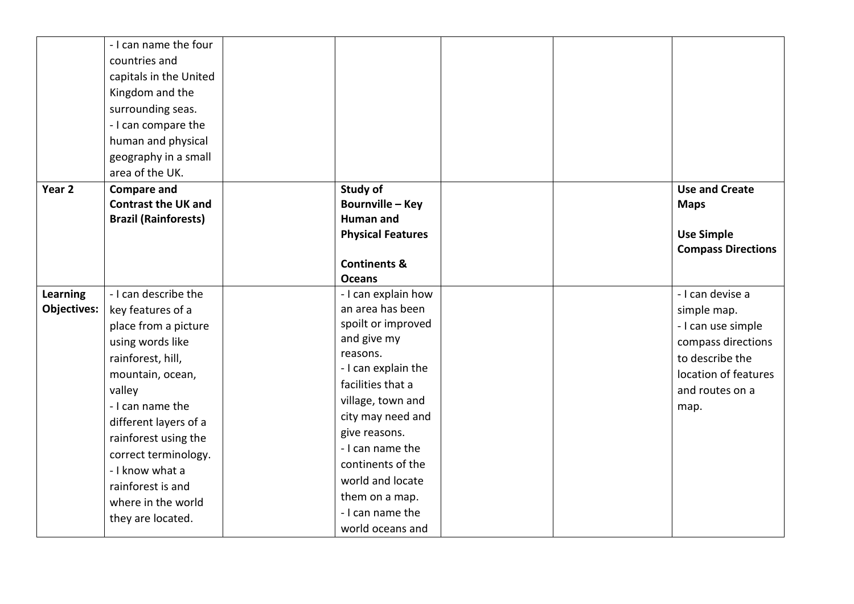|                    | - I can name the four<br>countries and<br>capitals in the United<br>Kingdom and the<br>surrounding seas.<br>- I can compare the<br>human and physical<br>geography in a small<br>area of the UK. |                                     |  |                                      |
|--------------------|--------------------------------------------------------------------------------------------------------------------------------------------------------------------------------------------------|-------------------------------------|--|--------------------------------------|
| Year <sub>2</sub>  | <b>Compare and</b><br><b>Contrast the UK and</b>                                                                                                                                                 | Study of<br><b>Bournville - Key</b> |  | <b>Use and Create</b><br><b>Maps</b> |
|                    | <b>Brazil (Rainforests)</b>                                                                                                                                                                      | <b>Human and</b>                    |  |                                      |
|                    |                                                                                                                                                                                                  | <b>Physical Features</b>            |  | <b>Use Simple</b>                    |
|                    |                                                                                                                                                                                                  | <b>Continents &amp;</b>             |  | <b>Compass Directions</b>            |
|                    |                                                                                                                                                                                                  | <b>Oceans</b>                       |  |                                      |
| Learning           | - I can describe the                                                                                                                                                                             | - I can explain how                 |  | - I can devise a                     |
| <b>Objectives:</b> | key features of a                                                                                                                                                                                | an area has been                    |  |                                      |
|                    |                                                                                                                                                                                                  | spoilt or improved                  |  | simple map.                          |
|                    | place from a picture                                                                                                                                                                             | and give my                         |  | - I can use simple                   |
|                    | using words like                                                                                                                                                                                 | reasons.                            |  | compass directions                   |
|                    | rainforest, hill,                                                                                                                                                                                | - I can explain the                 |  | to describe the                      |
|                    | mountain, ocean,                                                                                                                                                                                 | facilities that a                   |  | location of features                 |
|                    | valley                                                                                                                                                                                           | village, town and                   |  | and routes on a                      |
|                    | - I can name the                                                                                                                                                                                 | city may need and                   |  | map.                                 |
|                    | different layers of a                                                                                                                                                                            | give reasons.                       |  |                                      |
|                    | rainforest using the                                                                                                                                                                             | - I can name the                    |  |                                      |
|                    | correct terminology.                                                                                                                                                                             | continents of the                   |  |                                      |
|                    | - I know what a                                                                                                                                                                                  | world and locate                    |  |                                      |
|                    | rainforest is and                                                                                                                                                                                | them on a map.                      |  |                                      |
|                    | where in the world                                                                                                                                                                               | - I can name the                    |  |                                      |
|                    | they are located.                                                                                                                                                                                |                                     |  |                                      |
|                    |                                                                                                                                                                                                  | world oceans and                    |  |                                      |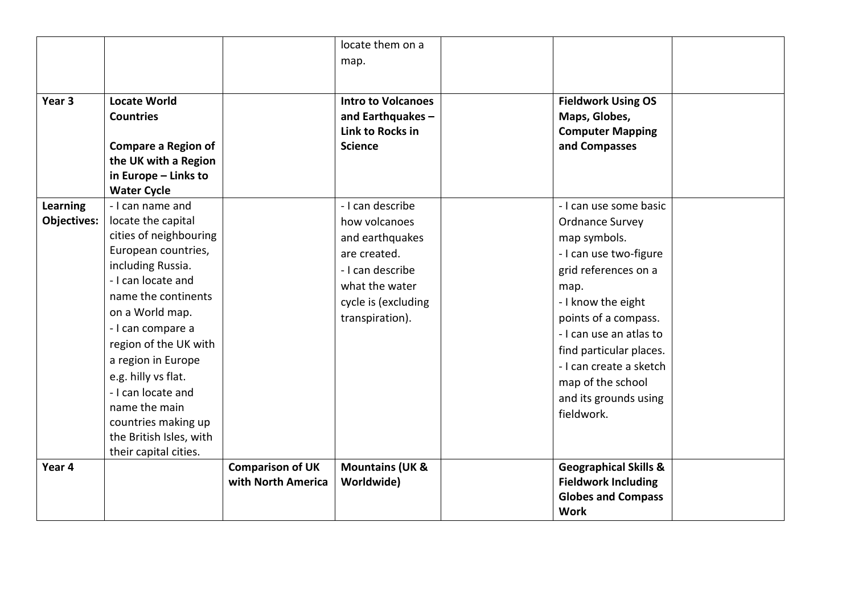|                 |                                         |                         | locate them on a                      |                                          |  |
|-----------------|-----------------------------------------|-------------------------|---------------------------------------|------------------------------------------|--|
|                 |                                         |                         | map.                                  |                                          |  |
|                 |                                         |                         |                                       |                                          |  |
| Year 3          |                                         |                         |                                       |                                          |  |
|                 | <b>Locate World</b><br><b>Countries</b> |                         | <b>Intro to Volcanoes</b>             | <b>Fieldwork Using OS</b>                |  |
|                 |                                         |                         | and Earthquakes -<br>Link to Rocks in | Maps, Globes,<br><b>Computer Mapping</b> |  |
|                 | <b>Compare a Region of</b>              |                         | <b>Science</b>                        | and Compasses                            |  |
|                 | the UK with a Region                    |                         |                                       |                                          |  |
|                 | in Europe - Links to                    |                         |                                       |                                          |  |
|                 | <b>Water Cycle</b>                      |                         |                                       |                                          |  |
| <b>Learning</b> | - I can name and                        |                         | - I can describe                      | - I can use some basic                   |  |
| Objectives:     | locate the capital                      |                         | how volcanoes                         | <b>Ordnance Survey</b>                   |  |
|                 | cities of neighbouring                  |                         | and earthquakes                       | map symbols.                             |  |
|                 | European countries,                     |                         | are created.                          | - I can use two-figure                   |  |
|                 | including Russia.                       |                         | - I can describe                      | grid references on a                     |  |
|                 | - I can locate and                      |                         | what the water                        | map.                                     |  |
|                 | name the continents                     |                         | cycle is (excluding                   | - I know the eight                       |  |
|                 | on a World map.                         |                         | transpiration).                       | points of a compass.                     |  |
|                 | - I can compare a                       |                         |                                       | - I can use an atlas to                  |  |
|                 | region of the UK with                   |                         |                                       |                                          |  |
|                 | a region in Europe                      |                         |                                       | find particular places.                  |  |
|                 | e.g. hilly vs flat.                     |                         |                                       | - I can create a sketch                  |  |
|                 | - I can locate and                      |                         |                                       | map of the school                        |  |
|                 | name the main                           |                         |                                       | and its grounds using                    |  |
|                 | countries making up                     |                         |                                       | fieldwork.                               |  |
|                 | the British Isles, with                 |                         |                                       |                                          |  |
|                 | their capital cities.                   |                         |                                       |                                          |  |
| Year 4          |                                         | <b>Comparison of UK</b> | <b>Mountains (UK &amp;</b>            | <b>Geographical Skills &amp;</b>         |  |
|                 |                                         | with North America      | <b>Worldwide)</b>                     | <b>Fieldwork Including</b>               |  |
|                 |                                         |                         |                                       | <b>Globes and Compass</b>                |  |
|                 |                                         |                         |                                       | <b>Work</b>                              |  |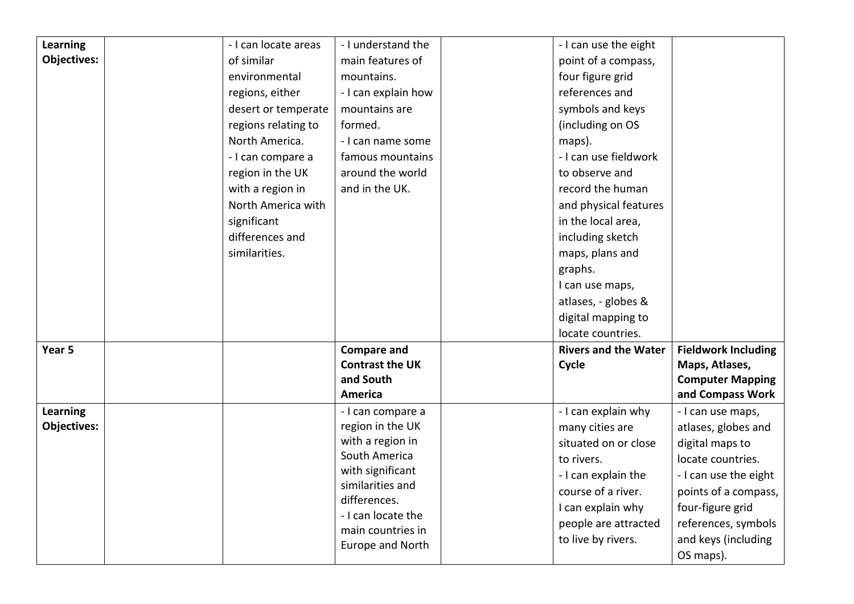| Learning           | - I can locate areas | - I understand the                   | - I can use the eight       |                            |
|--------------------|----------------------|--------------------------------------|-----------------------------|----------------------------|
| <b>Objectives:</b> | of similar           | main features of                     | point of a compass,         |                            |
|                    | environmental        | mountains.                           | four figure grid            |                            |
|                    | regions, either      | - I can explain how                  | references and              |                            |
|                    | desert or temperate  | mountains are                        | symbols and keys            |                            |
|                    | regions relating to  | formed.                              | (including on OS            |                            |
|                    | North America.       | - I can name some                    | maps).                      |                            |
|                    | - I can compare a    | famous mountains                     | - I can use fieldwork       |                            |
|                    | region in the UK     | around the world                     | to observe and              |                            |
|                    | with a region in     | and in the UK.                       | record the human            |                            |
|                    | North America with   |                                      | and physical features       |                            |
|                    | significant          |                                      | in the local area,          |                            |
|                    | differences and      |                                      | including sketch            |                            |
|                    | similarities.        |                                      | maps, plans and             |                            |
|                    |                      |                                      | graphs.                     |                            |
|                    |                      |                                      | I can use maps,             |                            |
|                    |                      |                                      | atlases, - globes &         |                            |
|                    |                      |                                      | digital mapping to          |                            |
|                    |                      |                                      | locate countries.           |                            |
| Year 5             |                      | <b>Compare and</b>                   | <b>Rivers and the Water</b> | <b>Fieldwork Including</b> |
|                    |                      | <b>Contrast the UK</b>               | Cycle                       | Maps, Atlases,             |
|                    |                      | and South                            |                             | <b>Computer Mapping</b>    |
|                    |                      | <b>America</b>                       |                             | and Compass Work           |
| Learning           |                      | - I can compare a                    | - I can explain why         | - I can use maps,          |
| <b>Objectives:</b> |                      | region in the UK                     | many cities are             | atlases, globes and        |
|                    |                      | with a region in                     | situated on or close        | digital maps to            |
|                    |                      | South America                        | to rivers.                  | locate countries.          |
|                    |                      | with significant<br>similarities and | - I can explain the         | - I can use the eight      |
|                    |                      | differences.                         | course of a river.          | points of a compass,       |
|                    |                      | - I can locate the                   | I can explain why           | four-figure grid           |
|                    |                      | main countries in                    | people are attracted        | references, symbols        |
|                    |                      | Europe and North                     | to live by rivers.          | and keys (including        |
|                    |                      |                                      |                             | OS maps).                  |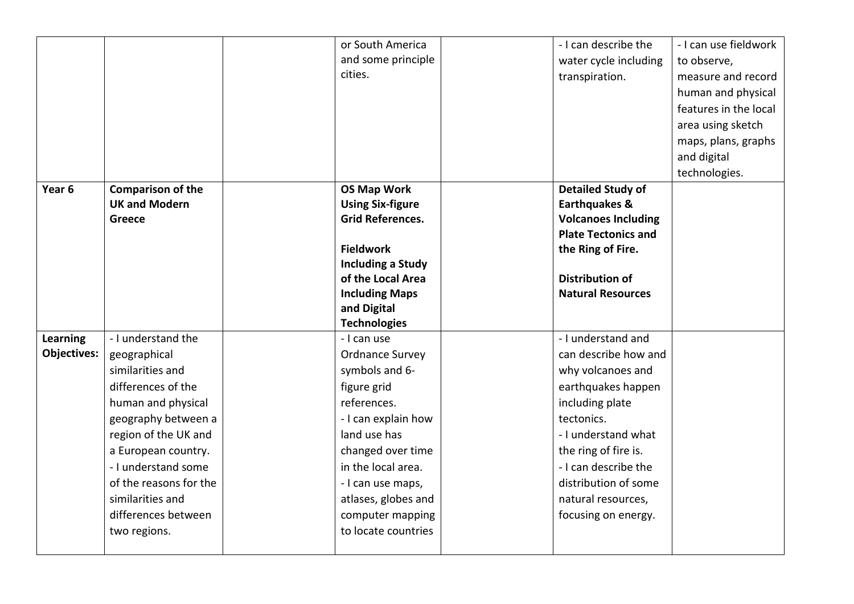|                    |                          | or South America         | - I can describe the       | - I can use fieldwork |
|--------------------|--------------------------|--------------------------|----------------------------|-----------------------|
|                    |                          | and some principle       | water cycle including      | to observe,           |
|                    |                          | cities.                  | transpiration.             | measure and record    |
|                    |                          |                          |                            | human and physical    |
|                    |                          |                          |                            | features in the local |
|                    |                          |                          |                            | area using sketch     |
|                    |                          |                          |                            | maps, plans, graphs   |
|                    |                          |                          |                            | and digital           |
|                    |                          |                          |                            | technologies.         |
| Year <sub>6</sub>  | <b>Comparison of the</b> | <b>OS Map Work</b>       | <b>Detailed Study of</b>   |                       |
|                    | <b>UK and Modern</b>     | <b>Using Six-figure</b>  | <b>Earthquakes &amp;</b>   |                       |
|                    | <b>Greece</b>            | <b>Grid References.</b>  | <b>Volcanoes Including</b> |                       |
|                    |                          |                          | <b>Plate Tectonics and</b> |                       |
|                    |                          | <b>Fieldwork</b>         | the Ring of Fire.          |                       |
|                    |                          | <b>Including a Study</b> |                            |                       |
|                    |                          | of the Local Area        | <b>Distribution of</b>     |                       |
|                    |                          | <b>Including Maps</b>    | <b>Natural Resources</b>   |                       |
|                    |                          | and Digital              |                            |                       |
|                    |                          | <b>Technologies</b>      |                            |                       |
| <b>Learning</b>    | - I understand the       | - I can use              | - I understand and         |                       |
| <b>Objectives:</b> | geographical             | <b>Ordnance Survey</b>   | can describe how and       |                       |
|                    | similarities and         | symbols and 6-           | why volcanoes and          |                       |
|                    | differences of the       | figure grid              | earthquakes happen         |                       |
|                    | human and physical       | references.              | including plate            |                       |
|                    | geography between a      | - I can explain how      | tectonics.                 |                       |
|                    | region of the UK and     | land use has             | - I understand what        |                       |
|                    | a European country.      | changed over time        | the ring of fire is.       |                       |
|                    | - I understand some      | in the local area.       | - I can describe the       |                       |
|                    | of the reasons for the   | - I can use maps,        | distribution of some       |                       |
|                    | similarities and         | atlases, globes and      | natural resources,         |                       |
|                    | differences between      | computer mapping         | focusing on energy.        |                       |
|                    | two regions.             | to locate countries      |                            |                       |
|                    |                          |                          |                            |                       |